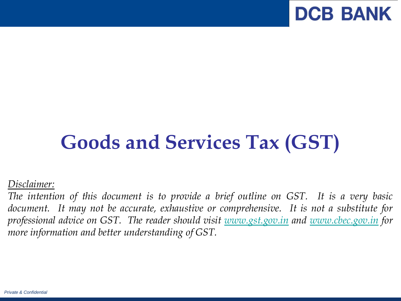

# **Goods and Services Tax (GST)**

*Disclaimer:*

*The intention of this document is to provide a brief outline on GST. It is a very basic document. It may not be accurate, exhaustive or comprehensive. It is not a substitute for professional advice on GST. The reader should visit [www.gst.gov.in](http://www.gst.gov.in/) and [www.cbec.gov.in](http://www.cbec.gov.in/) for more information and better understanding of GST.*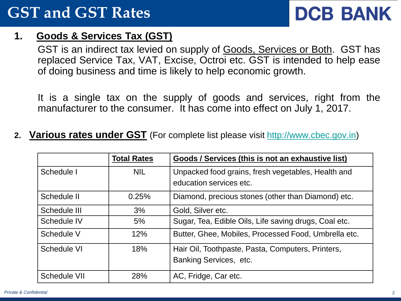### **GST and GST Rates**

# **DCB BANK**

### **1. Goods & Services Tax (GST)**

GST is an indirect tax levied on supply of Goods, Services or Both. GST has replaced Service Tax, VAT, Excise, Octroi etc. GST is intended to help ease of doing business and time is likely to help economic growth.

It is a single tax on the supply of goods and services, right from the manufacturer to the consumer. It has come into effect on July 1, 2017.

**2. Various rates under GST** (For complete list please visit [http://www.cbec.gov.in](http://www.cbec.gov.in/))

|                     | <b>Total Rates</b> | Goods / Services (this is not an exhaustive list)     |
|---------------------|--------------------|-------------------------------------------------------|
| Schedule I          | <b>NIL</b>         | Unpacked food grains, fresh vegetables, Health and    |
|                     |                    | education services etc.                               |
| Schedule II         | 0.25%              | Diamond, precious stones (other than Diamond) etc.    |
| Schedule III        | 3%                 | Gold, Silver etc.                                     |
| Schedule IV         | 5%                 | Sugar, Tea, Edible Oils, Life saving drugs, Coal etc. |
| Schedule V          | 12%                | Butter, Ghee, Mobiles, Processed Food, Umbrella etc.  |
| Schedule VI         | 18%                | Hair Oil, Toothpaste, Pasta, Computers, Printers,     |
|                     |                    | Banking Services, etc.                                |
| <b>Schedule VII</b> | 28%                | AC, Fridge, Car etc.                                  |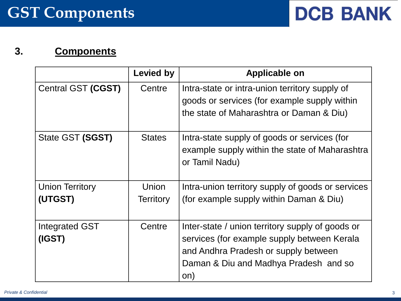### **3. Components**

|                          | <b>Levied by</b> | <b>Applicable on</b>                                                                                                                                                                    |
|--------------------------|------------------|-----------------------------------------------------------------------------------------------------------------------------------------------------------------------------------------|
| Central GST (CGST)       | Centre           | Intra-state or intra-union territory supply of<br>goods or services (for example supply within<br>the state of Maharashtra or Daman & Diu)                                              |
| State GST (SGST)         | <b>States</b>    | Intra-state supply of goods or services (for<br>example supply within the state of Maharashtra<br>or Tamil Nadu)                                                                        |
| <b>Union Territory</b>   | Union            | Intra-union territory supply of goods or services                                                                                                                                       |
| (UTGST)                  | <b>Territory</b> | (for example supply within Daman & Diu)                                                                                                                                                 |
| Integrated GST<br>(IGST) | Centre           | Inter-state / union territory supply of goods or<br>services (for example supply between Kerala<br>and Andhra Pradesh or supply between<br>Daman & Diu and Madhya Pradesh and so<br>on) |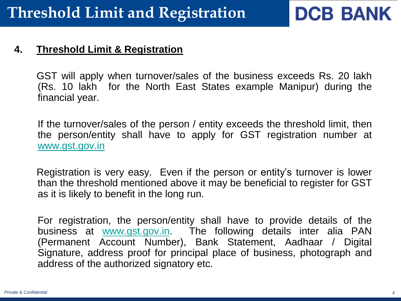**DCB BANK** 

#### **4. Threshold Limit & Registration**

 GST will apply when turnover/sales of the business exceeds Rs. 20 lakh (Rs. 10 lakh for the North East States example Manipur) during the financial year.

If the turnover/sales of the person / entity exceeds the threshold limit, then the person/entity shall have to apply for GST registration number at [www.gst.gov.in](http://www.gst.gov.in/)

 Registration is very easy. Even if the person or entity's turnover is lower than the threshold mentioned above it may be beneficial to register for GST as it is likely to benefit in the long run.

For registration, the person/entity shall have to provide details of the business at [www.gst.gov.in.](http://www.gst.gov.in/) The following details inter alia PAN (Permanent Account Number), Bank Statement, Aadhaar / Digital Signature, address proof for principal place of business, photograph and address of the authorized signatory etc.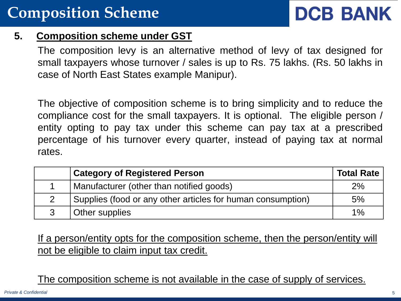# **DCB BANK**

### **5. Composition scheme under GST**

The composition levy is an alternative method of levy of tax designed for small taxpayers whose turnover / sales is up to Rs. 75 lakhs. (Rs. 50 lakhs in case of North East States example Manipur).

The objective of composition scheme is to bring simplicity and to reduce the compliance cost for the small taxpayers. It is optional. The eligible person / entity opting to pay tax under this scheme can pay tax at a prescribed percentage of his turnover every quarter, instead of paying tax at normal rates.

| <b>Category of Registered Person</b>                        | <b>Total Rate</b> |
|-------------------------------------------------------------|-------------------|
| Manufacturer (other than notified goods)                    | 2%                |
| Supplies (food or any other articles for human consumption) | 5%                |
| Other supplies                                              | $1\%$             |

If a person/entity opts for the composition scheme, then the person/entity will not be eligible to claim input tax credit.

The composition scheme is not available in the case of supply of services.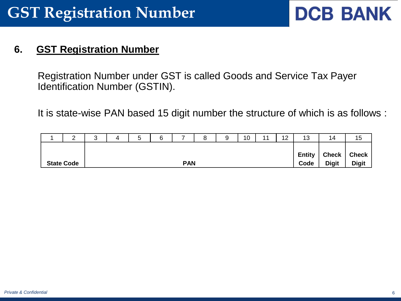### **GST Registration Number**

## **DCB BANK**

### **6. GST Registration Number**

Registration Number under GST is called Goods and Service Tax Payer Identification Number (GSTIN).

It is state-wise PAN based 15 digit number the structure of which is as follows :

| ົ<br>_            | ົ<br>ື     |  | $\overline{\phantom{0}}$<br>5 | $\sim$<br>b |  | $\Omega$<br>о | a<br>ັ       | 10           | 11 | $\overline{1}$<br>$\mathbf{Z}$ | 13            | 14           | 15           |
|-------------------|------------|--|-------------------------------|-------------|--|---------------|--------------|--------------|----|--------------------------------|---------------|--------------|--------------|
|                   |            |  |                               |             |  |               |              |              |    |                                |               |              |              |
|                   |            |  |                               |             |  |               |              |              |    |                                | <b>Entity</b> | <b>Check</b> | <b>Check</b> |
| <b>State Code</b> | <b>PAN</b> |  |                               |             |  | Code          | <b>Digit</b> | <b>Digit</b> |    |                                |               |              |              |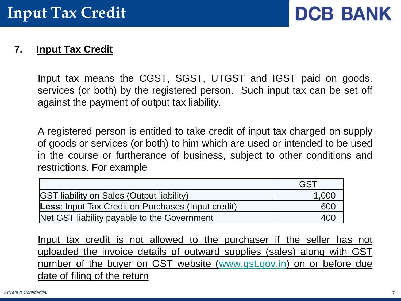

#### **7. Input Tax Credit**

Input tax means the CGST, SGST, UTGST and IGST paid on goods, services (or both) by the registered person. Such input tax can be set off against the payment of output tax liability.

A registered person is entitled to take credit of input tax charged on supply of goods or services (or both) to him which are used or intended to be used in the course or furtherance of business, subject to other conditions and restrictions. For example

|                                                    | <b>GST</b> |
|----------------------------------------------------|------------|
| <b>GST liability on Sales (Output liability)</b>   | 1.000      |
| Less: Input Tax Credit on Purchases (Input credit) | 600        |
| Net GST liability payable to the Government        |            |

Input tax credit is not allowed to the purchaser if the seller has not uploaded the invoice details of outward supplies (sales) along with GST number of the buyer on GST website ([www.gst.gov.in\)](http://www.gst.gov.in/) on or before due date of filing of the return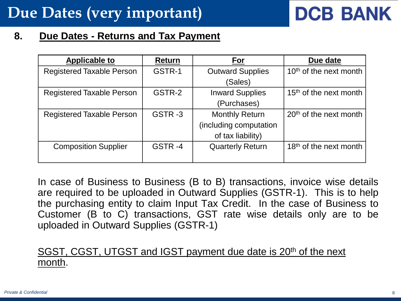### **Due Dates (very important)**

# **DCB BANK**

#### **8. Due Dates - Returns and Tax Payment**

| <b>Applicable to</b>             | Return | For                     | Due date                           |
|----------------------------------|--------|-------------------------|------------------------------------|
| <b>Registered Taxable Person</b> | GSTR-1 | <b>Outward Supplies</b> | 10 <sup>th</sup> of the next month |
|                                  |        | (Sales)                 |                                    |
| <b>Registered Taxable Person</b> | GSTR-2 | <b>Inward Supplies</b>  | 15 <sup>th</sup> of the next month |
|                                  |        | (Purchases)             |                                    |
| <b>Registered Taxable Person</b> | GSTR-3 | <b>Monthly Return</b>   | 20 <sup>th</sup> of the next month |
|                                  |        | (including computation  |                                    |
|                                  |        | of tax liability)       |                                    |
| <b>Composition Supplier</b>      | GSTR-4 | <b>Quarterly Return</b> | 18 <sup>th</sup> of the next month |
|                                  |        |                         |                                    |

In case of Business to Business (B to B) transactions, invoice wise details are required to be uploaded in Outward Supplies (GSTR-1). This is to help the purchasing entity to claim Input Tax Credit. In the case of Business to Customer (B to C) transactions, GST rate wise details only are to be uploaded in Outward Supplies (GSTR-1)

### SGST, CGST, UTGST and IGST payment due date is 20<sup>th</sup> of the next month.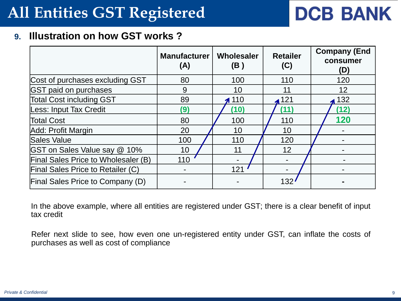### **All Entities GST Registered**

# **DCB BANK**

#### **9. Illustration on how GST works ?**

|                                            | <b>Manufacturer</b><br>(A) | Wholesaler<br>(B)    | <b>Retailer</b><br>(C) | <b>Company (End</b><br>consumer<br>(D) |
|--------------------------------------------|----------------------------|----------------------|------------------------|----------------------------------------|
| Cost of purchases excluding GST            | 80                         | 100                  | 110                    | 120                                    |
| <b>GST paid on purchases</b>               | 9                          | 10                   | 11                     | 12                                     |
| <b>Total Cost including GST</b>            | 89                         | $\blacktriangle$ 110 | $\triangle$ 121        | $\triangle$ 132                        |
| Less: Input Tax Credit                     | (9)                        | (10)                 | (11)                   | (12)                                   |
| <b>Total Cost</b>                          | 80                         | 100                  | 110                    | 120                                    |
| Add: Profit Margin                         | 20                         | 10                   | 10                     |                                        |
| Sales Value                                | 100                        | 110                  | 120                    |                                        |
| <b>GST</b> on Sales Value say @ 10%        | 10                         | 11                   | 12                     |                                        |
| <b>Final Sales Price to Wholesaler (B)</b> | 110                        |                      |                        |                                        |
| <b>Final Sales Price to Retailer (C)</b>   |                            | 121                  |                        |                                        |
| <b>Final Sales Price to Company (D)</b>    |                            |                      | 132                    |                                        |

In the above example, where all entities are registered under GST; there is a clear benefit of input tax credit

Refer next slide to see, how even one un-registered entity under GST, can inflate the costs of purchases as well as cost of compliance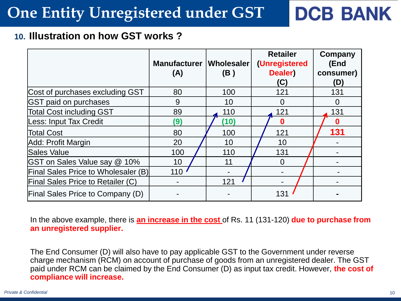### **One Entity Unregistered under GST**

# **DCB BANK**

### **10. Illustration on how GST works ?**

|                                            | Manufacturer   Wholesaler<br>(A) | (B)  | <b>Retailer</b><br>(Unregistered<br>Dealer)<br>(C) | <b>Company</b><br>(End<br>consumer)<br>D) |
|--------------------------------------------|----------------------------------|------|----------------------------------------------------|-------------------------------------------|
| Cost of purchases excluding GST            | 80                               | 100  | 121                                                | 131                                       |
| <b>GST paid on purchases</b>               | 9                                | 10   | $\Omega$                                           | 0                                         |
| <b>Total Cost including GST</b>            | 89                               | 110  | 121                                                | 131                                       |
| Less: Input Tax Credit                     | (9)                              | (10) | 0                                                  | $\bf{0}$                                  |
| <b>Total Cost</b>                          | 80                               | 100  | 121                                                | 131                                       |
| Add: Profit Margin                         | 20                               | 10   | 10                                                 |                                           |
| Sales Value                                | 100                              | 110  | 131                                                |                                           |
| <b>GST on Sales Value say @ 10%</b>        | 10                               | 11   | $\Omega$                                           |                                           |
| <b>Final Sales Price to Wholesaler (B)</b> | 110                              |      |                                                    |                                           |
| <b>Final Sales Price to Retailer (C)</b>   |                                  | 121  |                                                    |                                           |
| <b>Final Sales Price to Company (D)</b>    |                                  |      | 13 <sup>′</sup>                                    |                                           |

In the above example, there is **an increase in the cost** of Rs. 11 (131-120) **due to purchase from an unregistered supplier.**

The End Consumer (D) will also have to pay applicable GST to the Government under reverse charge mechanism (RCM) on account of purchase of goods from an unregistered dealer. The GST paid under RCM can be claimed by the End Consumer (D) as input tax credit. However, **the cost of compliance will increase.**